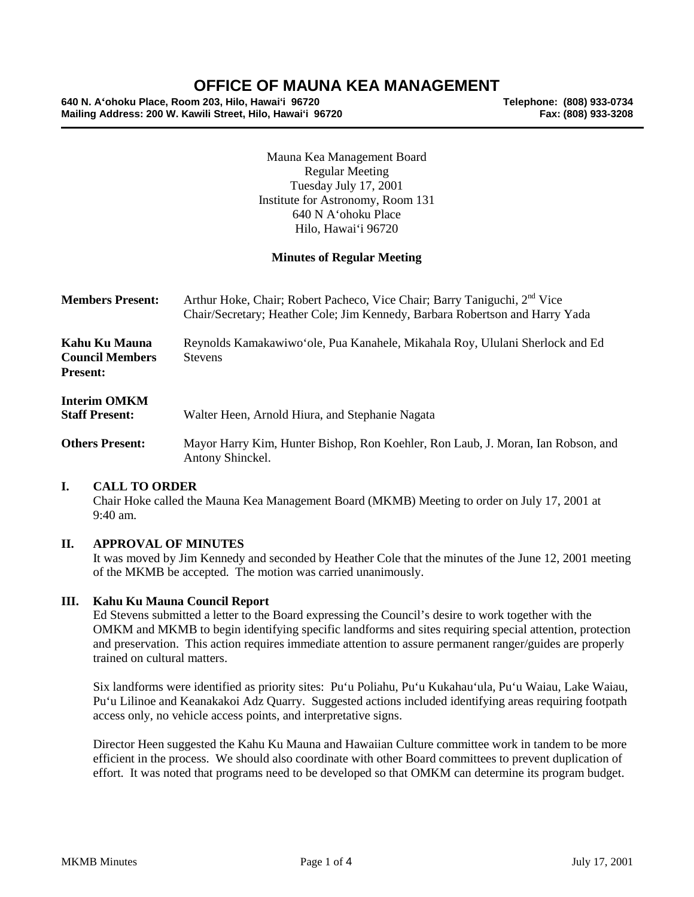# **OFFICE OF MAUNA KEA MANAGEMENT**

**640 N. A'ohoku Place, Room 203, Hilo, Hawai'i 96720 Telephone: (808) 933-0734 Mailing Address: 200 W. Kawili Street, Hilo, Hawai'i 96720 Fax: (808) 933-3208 Fax: (808) 933-3208** 

Mauna Kea Management Board Regular Meeting Tuesday July 17, 2001 Institute for Astronomy, Room 131 640 N A'ohoku Place Hilo, Hawai'i 96720

#### **Minutes of Regular Meeting**

| <b>Members Present:</b>                                    | Arthur Hoke, Chair; Robert Pacheco, Vice Chair; Barry Taniguchi, 2 <sup>nd</sup> Vice<br>Chair/Secretary; Heather Cole; Jim Kennedy, Barbara Robertson and Harry Yada |
|------------------------------------------------------------|-----------------------------------------------------------------------------------------------------------------------------------------------------------------------|
| Kahu Ku Mauna<br><b>Council Members</b><br><b>Present:</b> | Reynolds Kamakawiwo ole, Pua Kanahele, Mikahala Roy, Ululani Sherlock and Ed<br><b>Stevens</b>                                                                        |
| <b>Interim OMKM</b><br><b>Staff Present:</b>               | Walter Heen, Arnold Hiura, and Stephanie Nagata                                                                                                                       |
| <b>Others Present:</b>                                     | Mayor Harry Kim, Hunter Bishop, Ron Koehler, Ron Laub, J. Moran, Ian Robson, and<br>Antony Shinckel.                                                                  |

#### **I. CALL TO ORDER**

 Chair Hoke called the Mauna Kea Management Board (MKMB) Meeting to order on July 17, 2001 at 9:40 am.

#### **II. APPROVAL OF MINUTES**

 It was moved by Jim Kennedy and seconded by Heather Cole that the minutes of the June 12, 2001 meeting of the MKMB be accepted. The motion was carried unanimously.

#### **III. Kahu Ku Mauna Council Report**

Ed Stevens submitted a letter to the Board expressing the Council's desire to work together with the OMKM and MKMB to begin identifying specific landforms and sites requiring special attention, protection and preservation. This action requires immediate attention to assure permanent ranger/guides are properly trained on cultural matters.

Six landforms were identified as priority sites: Pu'u Poliahu, Pu'u Kukahau'ula, Pu'u Waiau, Lake Waiau, Pu'u Lilinoe and Keanakakoi Adz Quarry. Suggested actions included identifying areas requiring footpath access only, no vehicle access points, and interpretative signs.

Director Heen suggested the Kahu Ku Mauna and Hawaiian Culture committee work in tandem to be more efficient in the process. We should also coordinate with other Board committees to prevent duplication of effort. It was noted that programs need to be developed so that OMKM can determine its program budget.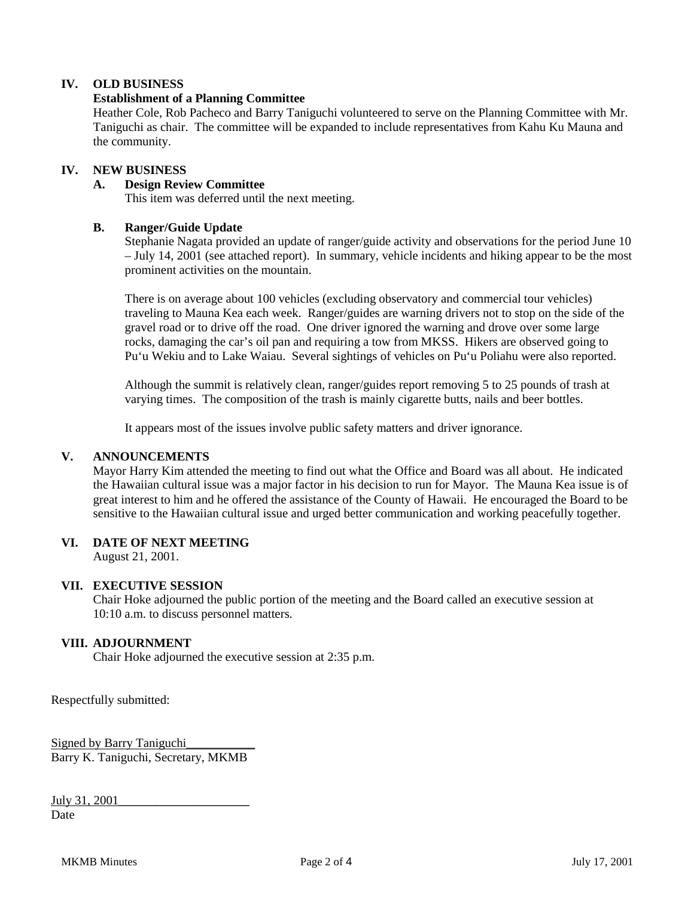# **IV. OLD BUSINESS**

## **Establishment of a Planning Committee**

Heather Cole, Rob Pacheco and Barry Taniguchi volunteered to serve on the Planning Committee with Mr. Taniguchi as chair. The committee will be expanded to include representatives from Kahu Ku Mauna and the community.

## **IV. NEW BUSINESS**

# **A. Design Review Committee**

This item was deferred until the next meeting.

## **B. Ranger/Guide Update**

Stephanie Nagata provided an update of ranger/guide activity and observations for the period June 10 – July 14, 2001 (see attached report). In summary, vehicle incidents and hiking appear to be the most prominent activities on the mountain.

There is on average about 100 vehicles (excluding observatory and commercial tour vehicles) traveling to Mauna Kea each week. Ranger/guides are warning drivers not to stop on the side of the gravel road or to drive off the road. One driver ignored the warning and drove over some large rocks, damaging the car's oil pan and requiring a tow from MKSS. Hikers are observed going to Pu'u Wekiu and to Lake Waiau. Several sightings of vehicles on Pu'u Poliahu were also reported.

Although the summit is relatively clean, ranger/guides report removing 5 to 25 pounds of trash at varying times. The composition of the trash is mainly cigarette butts, nails and beer bottles.

It appears most of the issues involve public safety matters and driver ignorance.

## **V. ANNOUNCEMENTS**

Mayor Harry Kim attended the meeting to find out what the Office and Board was all about. He indicated the Hawaiian cultural issue was a major factor in his decision to run for Mayor. The Mauna Kea issue is of great interest to him and he offered the assistance of the County of Hawaii. He encouraged the Board to be sensitive to the Hawaiian cultural issue and urged better communication and working peacefully together.

## **VI. DATE OF NEXT MEETING**

August 21, 2001.

# **VII. EXECUTIVE SESSION**

Chair Hoke adjourned the public portion of the meeting and the Board called an executive session at 10:10 a.m. to discuss personnel matters.

## **VIII. ADJOURNMENT**

Chair Hoke adjourned the executive session at 2:35 p.m.

Respectfully submitted:

Signed by Barry Taniguchi Barry K. Taniguchi, Secretary, MKMB

July 31, 2001 **Date**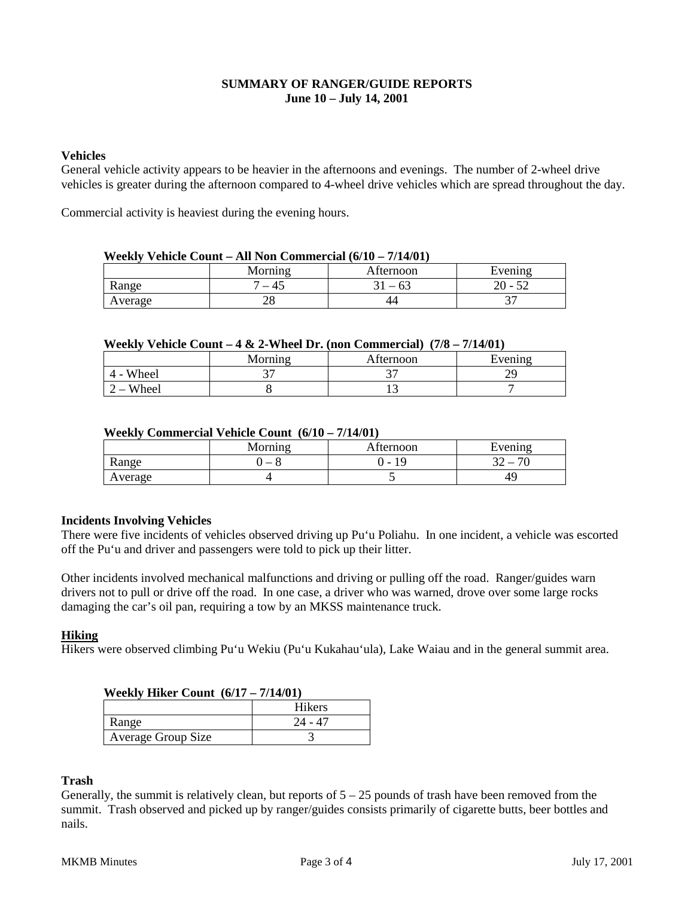# **SUMMARY OF RANGER/GUIDE REPORTS June 10 – July 14, 2001**

#### **Vehicles**

General vehicle activity appears to be heavier in the afternoons and evenings. The number of 2-wheel drive vehicles is greater during the afternoon compared to 4-wheel drive vehicles which are spread throughout the day.

Commercial activity is heaviest during the evening hours.

| $\mathbf{W}$ v can be counted and the comment of $\mathbf{W}$ to $\mathbf{W}$ is $\mathbf{W}$ |         |           |         |  |  |
|-----------------------------------------------------------------------------------------------|---------|-----------|---------|--|--|
|                                                                                               | Morning | Afternoon | Evening |  |  |
| Range                                                                                         |         |           | 20 - 52 |  |  |
| Average                                                                                       | ے ۔     |           |         |  |  |

#### **Weekly Vehicle Count – All Non Commercial (6/10 – 7/14/01)**

#### **Weekly Vehicle Count – 4 & 2-Wheel Dr. (non Commercial) (7/8 – 7/14/01)**

|       | $Ornn\sigma$ | Atternoon | Evening |
|-------|--------------|-----------|---------|
| Wheel | ⌒~<br>້      | ◡         |         |
| Wheel |              | ∸         |         |

#### **Weekly Commercial Vehicle Count (6/10 – 7/14/01)**

|         | 10rnino | Atternoon | Evening |
|---------|---------|-----------|---------|
| Range   |         | - 19      | $\pi$   |
| Average |         | . .       | 49      |

#### **Incidents Involving Vehicles**

There were five incidents of vehicles observed driving up Pu'u Poliahu. In one incident, a vehicle was escorted off the Pu'u and driver and passengers were told to pick up their litter.

Other incidents involved mechanical malfunctions and driving or pulling off the road. Ranger/guides warn drivers not to pull or drive off the road. In one case, a driver who was warned, drove over some large rocks damaging the car's oil pan, requiring a tow by an MKSS maintenance truck.

#### **Hiking**

Hikers were observed climbing Pu'u Wekiu (Pu'u Kukahau'ula), Lake Waiau and in the general summit area.

| <b>Weekly Hiker Count</b> $(6/17 - 7/14/01)$ |         |  |  |  |
|----------------------------------------------|---------|--|--|--|
|                                              | Hikers  |  |  |  |
| Range                                        | 24 - 47 |  |  |  |
| Average Group Size                           |         |  |  |  |

#### **Trash**

Generally, the summit is relatively clean, but reports of  $5 - 25$  pounds of trash have been removed from the summit. Trash observed and picked up by ranger/guides consists primarily of cigarette butts, beer bottles and nails.